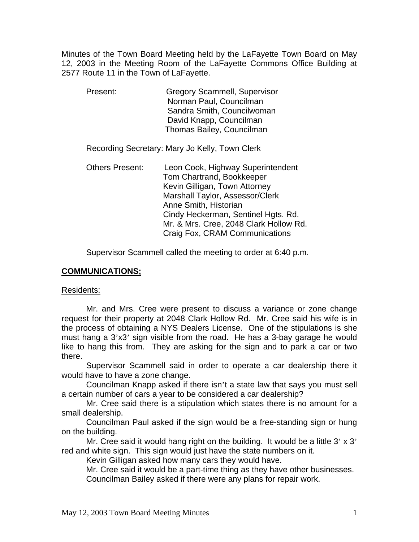Minutes of the Town Board Meeting held by the LaFayette Town Board on May 12, 2003 in the Meeting Room of the LaFayette Commons Office Building at 2577 Route 11 in the Town of LaFayette.

 Present: Gregory Scammell, Supervisor Norman Paul, Councilman Sandra Smith, Councilwoman David Knapp, Councilman Thomas Bailey, Councilman

Recording Secretary: Mary Jo Kelly, Town Clerk

 Others Present: Leon Cook, Highway Superintendent Tom Chartrand, Bookkeeper Kevin Gilligan, Town Attorney Marshall Taylor, Assessor/Clerk Anne Smith, Historian Cindy Heckerman, Sentinel Hgts. Rd. Mr. & Mrs. Cree, 2048 Clark Hollow Rd. Craig Fox, CRAM Communications

Supervisor Scammell called the meeting to order at 6:40 p.m.

# **COMMUNICATIONS;**

Residents:

 Mr. and Mrs. Cree were present to discuss a variance or zone change request for their property at 2048 Clark Hollow Rd. Mr. Cree said his wife is in the process of obtaining a NYS Dealers License. One of the stipulations is she must hang a 3'x3' sign visible from the road. He has a 3-bay garage he would like to hang this from. They are asking for the sign and to park a car or two there.

 Supervisor Scammell said in order to operate a car dealership there it would have to have a zone change.

 Councilman Knapp asked if there isn't a state law that says you must sell a certain number of cars a year to be considered a car dealership?

 Mr. Cree said there is a stipulation which states there is no amount for a small dealership.

 Councilman Paul asked if the sign would be a free-standing sign or hung on the building.

Mr. Cree said it would hang right on the building. It would be a little 3' x 3' red and white sign. This sign would just have the state numbers on it.

Kevin Gilligan asked how many cars they would have.

 Mr. Cree said it would be a part-time thing as they have other businesses. Councilman Bailey asked if there were any plans for repair work.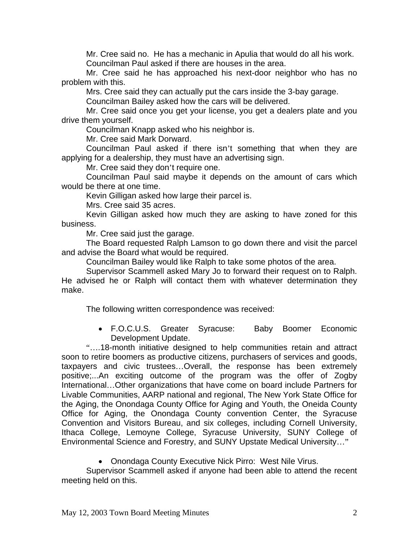Mr. Cree said no. He has a mechanic in Apulia that would do all his work. Councilman Paul asked if there are houses in the area.

 Mr. Cree said he has approached his next-door neighbor who has no problem with this.

Mrs. Cree said they can actually put the cars inside the 3-bay garage.

Councilman Bailey asked how the cars will be delivered.

 Mr. Cree said once you get your license, you get a dealers plate and you drive them yourself.

Councilman Knapp asked who his neighbor is.

Mr. Cree said Mark Dorward.

 Councilman Paul asked if there isn't something that when they are applying for a dealership, they must have an advertising sign.

Mr. Cree said they don't require one.

 Councilman Paul said maybe it depends on the amount of cars which would be there at one time.

Kevin Gilligan asked how large their parcel is.

Mrs. Cree said 35 acres.

 Kevin Gilligan asked how much they are asking to have zoned for this business.

Mr. Cree said just the garage.

 The Board requested Ralph Lamson to go down there and visit the parcel and advise the Board what would be required.

Councilman Bailey would like Ralph to take some photos of the area.

 Supervisor Scammell asked Mary Jo to forward their request on to Ralph. He advised he or Ralph will contact them with whatever determination they make.

The following written correspondence was received:

• F.O.C.U.S. Greater Syracuse: Baby Boomer Economic Development Update.

"….18-month initiative designed to help communities retain and attract soon to retire boomers as productive citizens, purchasers of services and goods, taxpayers and civic trustees…Overall, the response has been extremely positive;...An exciting outcome of the program was the offer of Zogby International…Other organizations that have come on board include Partners for Livable Communities, AARP national and regional, The New York State Office for the Aging, the Onondaga County Office for Aging and Youth, the Oneida County Office for Aging, the Onondaga County convention Center, the Syracuse Convention and Visitors Bureau, and six colleges, including Cornell University, Ithaca College, Lemoyne College, Syracuse University, SUNY College of Environmental Science and Forestry, and SUNY Upstate Medical University…"

• Onondaga County Executive Nick Pirro: West Nile Virus.

 Supervisor Scammell asked if anyone had been able to attend the recent meeting held on this.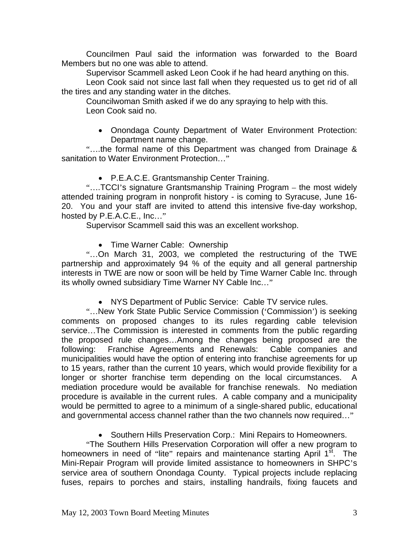Councilmen Paul said the information was forwarded to the Board Members but no one was able to attend.

Supervisor Scammell asked Leon Cook if he had heard anything on this.

 Leon Cook said not since last fall when they requested us to get rid of all the tires and any standing water in the ditches.

 Councilwoman Smith asked if we do any spraying to help with this. Leon Cook said no.

• Onondaga County Department of Water Environment Protection: Department name change.

"….the formal name of this Department was changed from Drainage & sanitation to Water Environment Protection…"

• P.E.A.C.E. Grantsmanship Center Training.

"….TCCI's signature Grantsmanship Training Program – the most widely attended training program in nonprofit history - is coming to Syracuse, June 16- 20. You and your staff are invited to attend this intensive five-day workshop, hosted by P.E.A.C.E., Inc…"

Supervisor Scammell said this was an excellent workshop.

• Time Warner Cable: Ownership

"…On March 31, 2003, we completed the restructuring of the TWE partnership and approximately 94 % of the equity and all general partnership interests in TWE are now or soon will be held by Time Warner Cable Inc. through its wholly owned subsidiary Time Warner NY Cable Inc…"

• NYS Department of Public Service: Cable TV service rules.

"…New York State Public Service Commission ('Commission') is seeking comments on proposed changes to its rules regarding cable television service…The Commission is interested in comments from the public regarding the proposed rule changes…Among the changes being proposed are the following: Franchise Agreements and Renewals: Cable companies and municipalities would have the option of entering into franchise agreements for up to 15 years, rather than the current 10 years, which would provide flexibility for a longer or shorter franchise term depending on the local circumstances. A mediation procedure would be available for franchise renewals. No mediation procedure is available in the current rules. A cable company and a municipality would be permitted to agree to a minimum of a single-shared public, educational and governmental access channel rather than the two channels now required…"

• Southern Hills Preservation Corp.: Mini Repairs to Homeowners.

"The Southern Hills Preservation Corporation will offer a new program to homeowners in need of "lite" repairs and maintenance starting April 1<sup>st</sup>. The Mini-Repair Program will provide limited assistance to homeowners in SHPC's service area of southern Onondaga County. Typical projects include replacing fuses, repairs to porches and stairs, installing handrails, fixing faucets and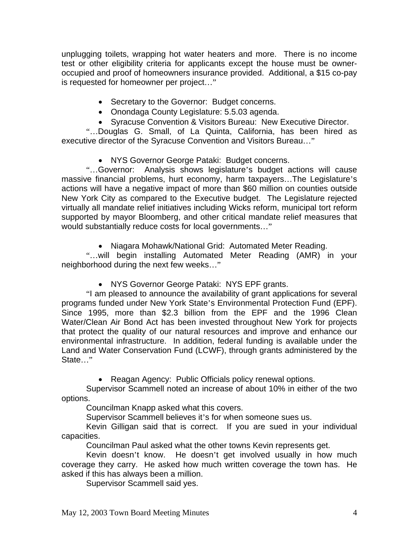unplugging toilets, wrapping hot water heaters and more. There is no income test or other eligibility criteria for applicants except the house must be owneroccupied and proof of homeowners insurance provided. Additional, a \$15 co-pay is requested for homeowner per project…"

- Secretary to the Governor: Budget concerns.
- Onondaga County Legislature: 5.5.03 agenda.
- Syracuse Convention & Visitors Bureau: New Executive Director.

"…Douglas G. Small, of La Quinta, California, has been hired as executive director of the Syracuse Convention and Visitors Bureau…"

• NYS Governor George Pataki: Budget concerns.

"…Governor: Analysis shows legislature's budget actions will cause massive financial problems, hurt economy, harm taxpayers…The Legislature's actions will have a negative impact of more than \$60 million on counties outside New York City as compared to the Executive budget. The Legislature rejected virtually all mandate relief initiatives including Wicks reform, municipal tort reform supported by mayor Bloomberg, and other critical mandate relief measures that would substantially reduce costs for local governments…"

• Niagara Mohawk/National Grid: Automated Meter Reading.

"…will begin installing Automated Meter Reading (AMR) in your neighborhood during the next few weeks…"

• NYS Governor George Pataki: NYS EPF grants.

"I am pleased to announce the availability of grant applications for several programs funded under New York State's Environmental Protection Fund (EPF). Since 1995, more than \$2.3 billion from the EPF and the 1996 Clean Water/Clean Air Bond Act has been invested throughout New York for projects that protect the quality of our natural resources and improve and enhance our environmental infrastructure. In addition, federal funding is available under the Land and Water Conservation Fund (LCWF), through grants administered by the State…"

• Reagan Agency: Public Officials policy renewal options.

 Supervisor Scammell noted an increase of about 10% in either of the two options.

Councilman Knapp asked what this covers.

Supervisor Scammell believes it's for when someone sues us.

 Kevin Gilligan said that is correct. If you are sued in your individual capacities.

Councilman Paul asked what the other towns Kevin represents get.

 Kevin doesn't know. He doesn't get involved usually in how much coverage they carry. He asked how much written coverage the town has. He asked if this has always been a million.

Supervisor Scammell said yes.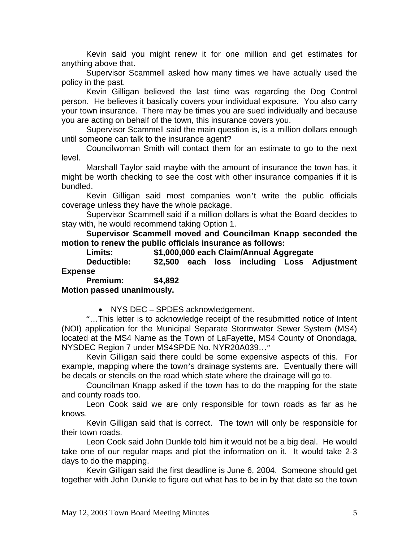Kevin said you might renew it for one million and get estimates for anything above that.

 Supervisor Scammell asked how many times we have actually used the policy in the past.

 Kevin Gilligan believed the last time was regarding the Dog Control person. He believes it basically covers your individual exposure. You also carry your town insurance. There may be times you are sued individually and because you are acting on behalf of the town, this insurance covers you.

 Supervisor Scammell said the main question is, is a million dollars enough until someone can talk to the insurance agent?

 Councilwoman Smith will contact them for an estimate to go to the next level.

 Marshall Taylor said maybe with the amount of insurance the town has, it might be worth checking to see the cost with other insurance companies if it is bundled.

 Kevin Gilligan said most companies won't write the public officials coverage unless they have the whole package.

 Supervisor Scammell said if a million dollars is what the Board decides to stay with, he would recommend taking Option 1.

**Supervisor Scammell moved and Councilman Knapp seconded the motion to renew the public officials insurance as follows:** 

 **Limits: \$1,000,000 each Claim/Annual Aggregate** 

 **Deductible: \$2,500 each loss including Loss Adjustment Expense** 

 **Premium: \$4,892 Motion passed unanimously.** 

• NYS DEC – SPDES acknowledgement.

"…This letter is to acknowledge receipt of the resubmitted notice of Intent (NOI) application for the Municipal Separate Stormwater Sewer System (MS4) located at the MS4 Name as the Town of LaFayette, MS4 County of Onondaga, NYSDEC Region 7 under MS4SPDE No. NYR20A039…"

 Kevin Gilligan said there could be some expensive aspects of this. For example, mapping where the town's drainage systems are. Eventually there will be decals or stencils on the road which state where the drainage will go to.

 Councilman Knapp asked if the town has to do the mapping for the state and county roads too.

 Leon Cook said we are only responsible for town roads as far as he knows.

 Kevin Gilligan said that is correct. The town will only be responsible for their town roads.

 Leon Cook said John Dunkle told him it would not be a big deal. He would take one of our regular maps and plot the information on it. It would take 2-3 days to do the mapping.

 Kevin Gilligan said the first deadline is June 6, 2004. Someone should get together with John Dunkle to figure out what has to be in by that date so the town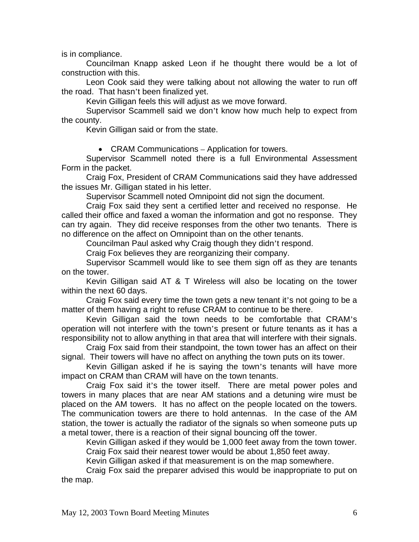is in compliance.

 Councilman Knapp asked Leon if he thought there would be a lot of construction with this.

 Leon Cook said they were talking about not allowing the water to run off the road. That hasn't been finalized yet.

Kevin Gilligan feels this will adjust as we move forward.

 Supervisor Scammell said we don't know how much help to expect from the county.

Kevin Gilligan said or from the state.

• CRAM Communications – Application for towers.

 Supervisor Scammell noted there is a full Environmental Assessment Form in the packet.

 Craig Fox, President of CRAM Communications said they have addressed the issues Mr. Gilligan stated in his letter.

Supervisor Scammell noted Omnipoint did not sign the document.

 Craig Fox said they sent a certified letter and received no response. He called their office and faxed a woman the information and got no response. They can try again. They did receive responses from the other two tenants. There is no difference on the affect on Omnipoint than on the other tenants.

Councilman Paul asked why Craig though they didn't respond.

Craig Fox believes they are reorganizing their company.

 Supervisor Scammell would like to see them sign off as they are tenants on the tower.

 Kevin Gilligan said AT & T Wireless will also be locating on the tower within the next 60 days.

 Craig Fox said every time the town gets a new tenant it's not going to be a matter of them having a right to refuse CRAM to continue to be there.

 Kevin Gilligan said the town needs to be comfortable that CRAM's operation will not interfere with the town's present or future tenants as it has a responsibility not to allow anything in that area that will interfere with their signals.

 Craig Fox said from their standpoint, the town tower has an affect on their signal. Their towers will have no affect on anything the town puts on its tower.

 Kevin Gilligan asked if he is saying the town's tenants will have more impact on CRAM than CRAM will have on the town tenants.

 Craig Fox said it's the tower itself. There are metal power poles and towers in many places that are near AM stations and a detuning wire must be placed on the AM towers. It has no affect on the people located on the towers. The communication towers are there to hold antennas. In the case of the AM station, the tower is actually the radiator of the signals so when someone puts up a metal tower, there is a reaction of their signal bouncing off the tower.

 Kevin Gilligan asked if they would be 1,000 feet away from the town tower. Craig Fox said their nearest tower would be about 1,850 feet away.

Kevin Gilligan asked if that measurement is on the map somewhere.

 Craig Fox said the preparer advised this would be inappropriate to put on the map.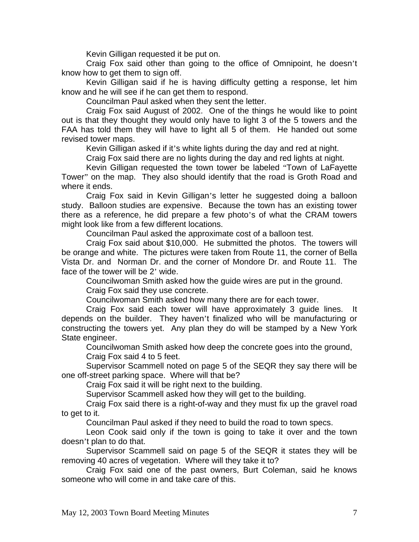Kevin Gilligan requested it be put on.

 Craig Fox said other than going to the office of Omnipoint, he doesn't know how to get them to sign off.

 Kevin Gilligan said if he is having difficulty getting a response, let him know and he will see if he can get them to respond.

Councilman Paul asked when they sent the letter.

 Craig Fox said August of 2002. One of the things he would like to point out is that they thought they would only have to light 3 of the 5 towers and the FAA has told them they will have to light all 5 of them. He handed out some revised tower maps.

Kevin Gilligan asked if it's white lights during the day and red at night.

Craig Fox said there are no lights during the day and red lights at night.

 Kevin Gilligan requested the town tower be labeled "Town of LaFayette Tower" on the map. They also should identify that the road is Groth Road and where it ends.

 Craig Fox said in Kevin Gilligan's letter he suggested doing a balloon study. Balloon studies are expensive. Because the town has an existing tower there as a reference, he did prepare a few photo's of what the CRAM towers might look like from a few different locations.

Councilman Paul asked the approximate cost of a balloon test.

 Craig Fox said about \$10,000. He submitted the photos. The towers will be orange and white. The pictures were taken from Route 11, the corner of Bella Vista Dr. and Norman Dr. and the corner of Mondore Dr. and Route 11. The face of the tower will be 2' wide.

 Councilwoman Smith asked how the guide wires are put in the ground. Craig Fox said they use concrete.

Councilwoman Smith asked how many there are for each tower.

 Craig Fox said each tower will have approximately 3 guide lines. It depends on the builder. They haven't finalized who will be manufacturing or constructing the towers yet. Any plan they do will be stamped by a New York State engineer.

 Councilwoman Smith asked how deep the concrete goes into the ground, Craig Fox said 4 to 5 feet.

 Supervisor Scammell noted on page 5 of the SEQR they say there will be one off-street parking space. Where will that be?

Craig Fox said it will be right next to the building.

Supervisor Scammell asked how they will get to the building.

 Craig Fox said there is a right-of-way and they must fix up the gravel road to get to it.

Councilman Paul asked if they need to build the road to town specs.

 Leon Cook said only if the town is going to take it over and the town doesn't plan to do that.

 Supervisor Scammell said on page 5 of the SEQR it states they will be removing 40 acres of vegetation. Where will they take it to?

 Craig Fox said one of the past owners, Burt Coleman, said he knows someone who will come in and take care of this.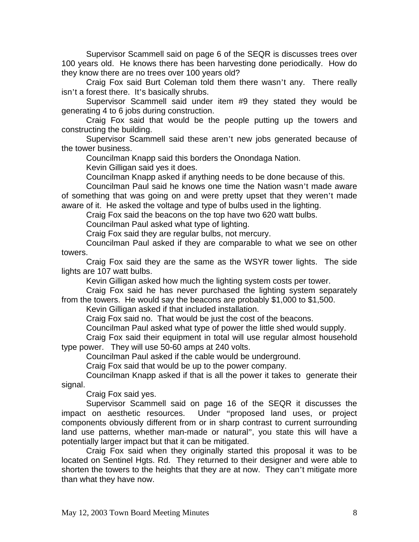Supervisor Scammell said on page 6 of the SEQR is discusses trees over 100 years old. He knows there has been harvesting done periodically. How do they know there are no trees over 100 years old?

 Craig Fox said Burt Coleman told them there wasn't any. There really isn't a forest there. It's basically shrubs.

 Supervisor Scammell said under item #9 they stated they would be generating 4 to 6 jobs during construction.

 Craig Fox said that would be the people putting up the towers and constructing the building.

 Supervisor Scammell said these aren't new jobs generated because of the tower business.

Councilman Knapp said this borders the Onondaga Nation.

Kevin Gilligan said yes it does.

Councilman Knapp asked if anything needs to be done because of this.

 Councilman Paul said he knows one time the Nation wasn't made aware of something that was going on and were pretty upset that they weren't made aware of it. He asked the voltage and type of bulbs used in the lighting.

Craig Fox said the beacons on the top have two 620 watt bulbs.

Councilman Paul asked what type of lighting.

Craig Fox said they are regular bulbs, not mercury.

 Councilman Paul asked if they are comparable to what we see on other towers.

 Craig Fox said they are the same as the WSYR tower lights. The side lights are 107 watt bulbs.

Kevin Gilligan asked how much the lighting system costs per tower.

 Craig Fox said he has never purchased the lighting system separately from the towers. He would say the beacons are probably \$1,000 to \$1,500.

Kevin Gilligan asked if that included installation.

Craig Fox said no. That would be just the cost of the beacons.

Councilman Paul asked what type of power the little shed would supply.

 Craig Fox said their equipment in total will use regular almost household type power. They will use 50-60 amps at 240 volts.

Councilman Paul asked if the cable would be underground.

Craig Fox said that would be up to the power company.

 Councilman Knapp asked if that is all the power it takes to generate their signal.

Craig Fox said yes.

 Supervisor Scammell said on page 16 of the SEQR it discusses the impact on aesthetic resources. Under "proposed land uses, or project components obviously different from or in sharp contrast to current surrounding land use patterns, whether man-made or natural", you state this will have a potentially larger impact but that it can be mitigated.

 Craig Fox said when they originally started this proposal it was to be located on Sentinel Hgts. Rd. They returned to their designer and were able to shorten the towers to the heights that they are at now. They can't mitigate more than what they have now.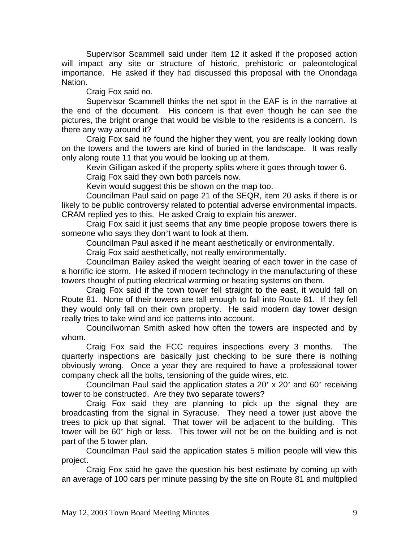Supervisor Scammell said under Item 12 it asked if the proposed action will impact any site or structure of historic, prehistoric or paleontological importance. He asked if they had discussed this proposal with the Onondaga Nation.

Craig Fox said no.

 Supervisor Scammell thinks the net spot in the EAF is in the narrative at the end of the document. His concern is that even though he can see the pictures, the bright orange that would be visible to the residents is a concern. Is there any way around it?

 Craig Fox said he found the higher they went, you are really looking down on the towers and the towers are kind of buried in the landscape. It was really only along route 11 that you would be looking up at them.

Kevin Gilligan asked if the property splits where it goes through tower 6.

Craig Fox said they own both parcels now.

Kevin would suggest this be shown on the map too.

 Councilman Paul said on page 21 of the SEQR, item 20 asks if there is or likely to be public controversy related to potential adverse environmental impacts. CRAM replied yes to this. He asked Craig to explain his answer.

 Craig Fox said it just seems that any time people propose towers there is someone who says they don't want to look at them.

Councilman Paul asked if he meant aesthetically or environmentally.

Craig Fox said aesthetically, not really environmentally.

 Councilman Bailey asked the weight bearing of each tower in the case of a horrific ice storm. He asked if modern technology in the manufacturing of these towers thought of putting electrical warming or heating systems on them.

 Craig Fox said if the town tower fell straight to the east, it would fall on Route 81. None of their towers are tall enough to fall into Route 81. If they fell they would only fall on their own property. He said modern day tower design really tries to take wind and ice patterns into account.

 Councilwoman Smith asked how often the towers are inspected and by whom.

 Craig Fox said the FCC requires inspections every 3 months. The quarterly inspections are basically just checking to be sure there is nothing obviously wrong. Once a year they are required to have a professional tower company check all the bolts, tensioning of the guide wires, etc.

 Councilman Paul said the application states a 20' x 20' and 60' receiving tower to be constructed. Are they two separate towers?

 Craig Fox said they are planning to pick up the signal they are broadcasting from the signal in Syracuse. They need a tower just above the trees to pick up that signal. That tower will be adjacent to the building. This tower will be 60' high or less. This tower will not be on the building and is not part of the 5 tower plan.

 Councilman Paul said the application states 5 million people will view this project.

 Craig Fox said he gave the question his best estimate by coming up with an average of 100 cars per minute passing by the site on Route 81 and multiplied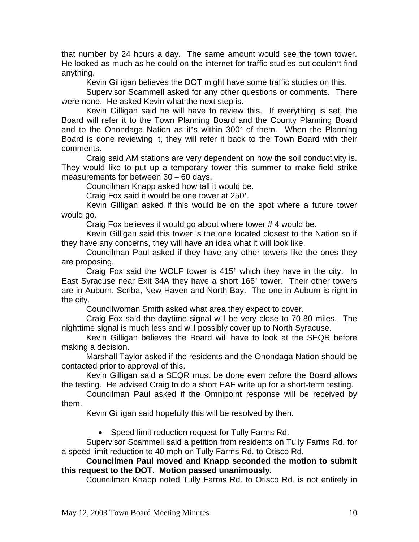that number by 24 hours a day. The same amount would see the town tower. He looked as much as he could on the internet for traffic studies but couldn't find anything.

Kevin Gilligan believes the DOT might have some traffic studies on this.

 Supervisor Scammell asked for any other questions or comments. There were none. He asked Kevin what the next step is.

 Kevin Gilligan said he will have to review this. If everything is set, the Board will refer it to the Town Planning Board and the County Planning Board and to the Onondaga Nation as it's within 300' of them. When the Planning Board is done reviewing it, they will refer it back to the Town Board with their comments.

 Craig said AM stations are very dependent on how the soil conductivity is. They would like to put up a temporary tower this summer to make field strike measurements for between 30 – 60 days.

Councilman Knapp asked how tall it would be.

Craig Fox said it would be one tower at 250'.

 Kevin Gilligan asked if this would be on the spot where a future tower would go.

Craig Fox believes it would go about where tower # 4 would be.

 Kevin Gilligan said this tower is the one located closest to the Nation so if they have any concerns, they will have an idea what it will look like.

 Councilman Paul asked if they have any other towers like the ones they are proposing.

 Craig Fox said the WOLF tower is 415' which they have in the city. In East Syracuse near Exit 34A they have a short 166' tower. Their other towers are in Auburn, Scriba, New Haven and North Bay. The one in Auburn is right in the city.

Councilwoman Smith asked what area they expect to cover.

 Craig Fox said the daytime signal will be very close to 70-80 miles. The nighttime signal is much less and will possibly cover up to North Syracuse.

 Kevin Gilligan believes the Board will have to look at the SEQR before making a decision.

 Marshall Taylor asked if the residents and the Onondaga Nation should be contacted prior to approval of this.

 Kevin Gilligan said a SEQR must be done even before the Board allows the testing. He advised Craig to do a short EAF write up for a short-term testing.

 Councilman Paul asked if the Omnipoint response will be received by them.

Kevin Gilligan said hopefully this will be resolved by then.

• Speed limit reduction request for Tully Farms Rd.

 Supervisor Scammell said a petition from residents on Tully Farms Rd. for a speed limit reduction to 40 mph on Tully Farms Rd. to Otisco Rd.

### **Councilmen Paul moved and Knapp seconded the motion to submit this request to the DOT. Motion passed unanimously.**

Councilman Knapp noted Tully Farms Rd. to Otisco Rd. is not entirely in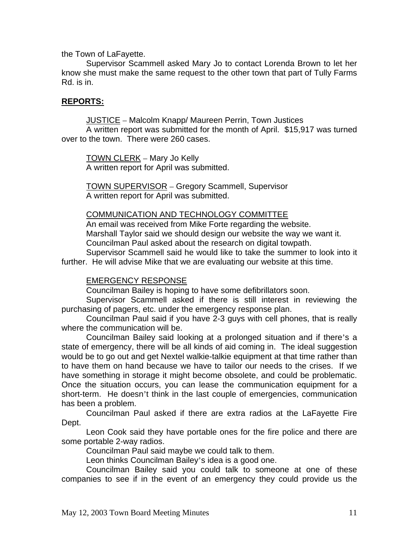the Town of LaFayette.

 Supervisor Scammell asked Mary Jo to contact Lorenda Brown to let her know she must make the same request to the other town that part of Tully Farms Rd. is in.

### **REPORTS:**

JUSTICE - Malcolm Knapp/ Maureen Perrin, Town Justices

 A written report was submitted for the month of April. \$15,917 was turned over to the town. There were 260 cases.

 TOWN CLERK – Mary Jo Kelly A written report for April was submitted.

 TOWN SUPERVISOR – Gregory Scammell, Supervisor A written report for April was submitted.

#### COMMUNICATION AND TECHNOLOGY COMMITTEE

 An email was received from Mike Forte regarding the website. Marshall Taylor said we should design our website the way we want it. Councilman Paul asked about the research on digital towpath.

 Supervisor Scammell said he would like to take the summer to look into it further. He will advise Mike that we are evaluating our website at this time.

### EMERGENCY RESPONSE

Councilman Bailey is hoping to have some defibrillators soon.

 Supervisor Scammell asked if there is still interest in reviewing the purchasing of pagers, etc. under the emergency response plan.

 Councilman Paul said if you have 2-3 guys with cell phones, that is really where the communication will be.

 Councilman Bailey said looking at a prolonged situation and if there's a state of emergency, there will be all kinds of aid coming in. The ideal suggestion would be to go out and get Nextel walkie-talkie equipment at that time rather than to have them on hand because we have to tailor our needs to the crises. If we have something in storage it might become obsolete, and could be problematic. Once the situation occurs, you can lease the communication equipment for a short-term. He doesn't think in the last couple of emergencies, communication has been a problem.

 Councilman Paul asked if there are extra radios at the LaFayette Fire Dept.

 Leon Cook said they have portable ones for the fire police and there are some portable 2-way radios.

Councilman Paul said maybe we could talk to them.

Leon thinks Councilman Bailey's idea is a good one.

 Councilman Bailey said you could talk to someone at one of these companies to see if in the event of an emergency they could provide us the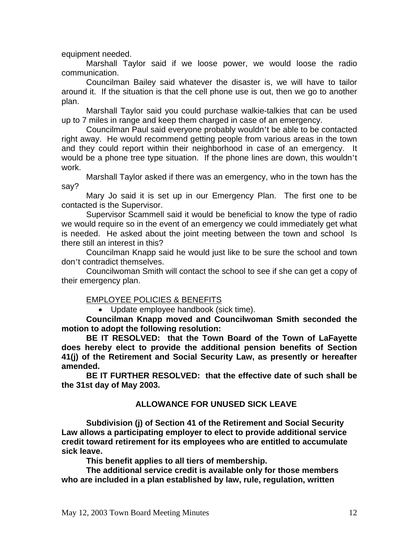equipment needed.

 Marshall Taylor said if we loose power, we would loose the radio communication.

 Councilman Bailey said whatever the disaster is, we will have to tailor around it. If the situation is that the cell phone use is out, then we go to another plan.

 Marshall Taylor said you could purchase walkie-talkies that can be used up to 7 miles in range and keep them charged in case of an emergency.

 Councilman Paul said everyone probably wouldn't be able to be contacted right away. He would recommend getting people from various areas in the town and they could report within their neighborhood in case of an emergency. It would be a phone tree type situation. If the phone lines are down, this wouldn't work.

 Marshall Taylor asked if there was an emergency, who in the town has the say?

 Mary Jo said it is set up in our Emergency Plan. The first one to be contacted is the Supervisor.

 Supervisor Scammell said it would be beneficial to know the type of radio we would require so in the event of an emergency we could immediately get what is needed. He asked about the joint meeting between the town and school Is there still an interest in this?

 Councilman Knapp said he would just like to be sure the school and town don't contradict themselves.

 Councilwoman Smith will contact the school to see if she can get a copy of their emergency plan.

### EMPLOYEE POLICIES & BENEFITS

• Update employee handbook (sick time).

**Councilman Knapp moved and Councilwoman Smith seconded the motion to adopt the following resolution:** 

 **BE IT RESOLVED: that the Town Board of the Town of LaFayette does hereby elect to provide the additional pension benefits of Section 41(j) of the Retirement and Social Security Law, as presently or hereafter amended.** 

 **BE IT FURTHER RESOLVED: that the effective date of such shall be the 31st day of May 2003.** 

### **ALLOWANCE FOR UNUSED SICK LEAVE**

 **Subdivision (j) of Section 41 of the Retirement and Social Security Law allows a participating employer to elect to provide additional service credit toward retirement for its employees who are entitled to accumulate sick leave.** 

 **This benefit applies to all tiers of membership.** 

 **The additional service credit is available only for those members who are included in a plan established by law, rule, regulation, written**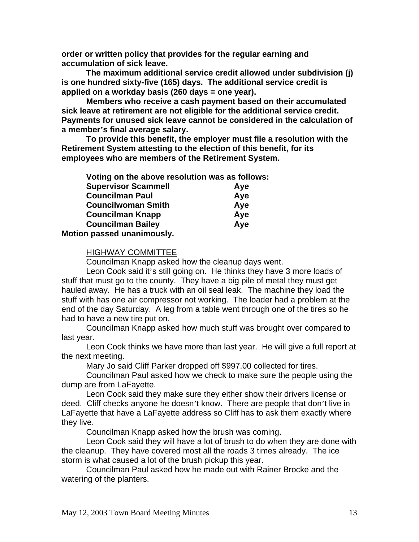**order or written policy that provides for the regular earning and accumulation of sick leave.** 

 **The maximum additional service credit allowed under subdivision (j) is one hundred sixty-five (165) days. The additional service credit is applied on a workday basis (260 days = one year).** 

 **Members who receive a cash payment based on their accumulated sick leave at retirement are not eligible for the additional service credit. Payments for unused sick leave cannot be considered in the calculation of a member's final average salary.** 

 **To provide this benefit, the employer must file a resolution with the Retirement System attesting to the election of this benefit, for its employees who are members of the Retirement System.** 

| Voting on the above resolution was as follows: |     |
|------------------------------------------------|-----|
| <b>Supervisor Scammell</b>                     | Aye |
| <b>Councilman Paul</b>                         | Aye |
| <b>Councilwoman Smith</b>                      | Aye |
| <b>Councilman Knapp</b>                        | Aye |
| <b>Councilman Bailey</b>                       | Aye |
| Motion passed unanimously.                     |     |

#### HIGHWAY COMMITTEE

Councilman Knapp asked how the cleanup days went.

 Leon Cook said it's still going on. He thinks they have 3 more loads of stuff that must go to the county. They have a big pile of metal they must get hauled away. He has a truck with an oil seal leak. The machine they load the stuff with has one air compressor not working. The loader had a problem at the end of the day Saturday. A leg from a table went through one of the tires so he had to have a new tire put on.

 Councilman Knapp asked how much stuff was brought over compared to last year.

 Leon Cook thinks we have more than last year. He will give a full report at the next meeting.

Mary Jo said Cliff Parker dropped off \$997.00 collected for tires.

 Councilman Paul asked how we check to make sure the people using the dump are from LaFayette.

 Leon Cook said they make sure they either show their drivers license or deed. Cliff checks anyone he doesn't know. There are people that don't live in LaFayette that have a LaFayette address so Cliff has to ask them exactly where they live.

Councilman Knapp asked how the brush was coming.

 Leon Cook said they will have a lot of brush to do when they are done with the cleanup. They have covered most all the roads 3 times already. The ice storm is what caused a lot of the brush pickup this year.

 Councilman Paul asked how he made out with Rainer Brocke and the watering of the planters.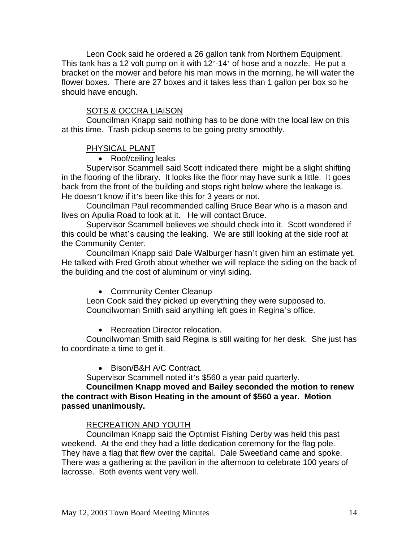Leon Cook said he ordered a 26 gallon tank from Northern Equipment. This tank has a 12 volt pump on it with 12'-14' of hose and a nozzle. He put a bracket on the mower and before his man mows in the morning, he will water the flower boxes. There are 27 boxes and it takes less than 1 gallon per box so he should have enough.

#### SOTS & OCCRA LIAISON

 Councilman Knapp said nothing has to be done with the local law on this at this time. Trash pickup seems to be going pretty smoothly.

#### PHYSICAL PLANT

• Roof/ceiling leaks

 Supervisor Scammell said Scott indicated there might be a slight shifting in the flooring of the library. It looks like the floor may have sunk a little. It goes back from the front of the building and stops right below where the leakage is. He doesn't know if it's been like this for 3 years or not.

 Councilman Paul recommended calling Bruce Bear who is a mason and lives on Apulia Road to look at it. He will contact Bruce.

 Supervisor Scammell believes we should check into it. Scott wondered if this could be what's causing the leaking. We are still looking at the side roof at the Community Center.

 Councilman Knapp said Dale Walburger hasn't given him an estimate yet. He talked with Fred Groth about whether we will replace the siding on the back of the building and the cost of aluminum or vinyl siding.

• Community Center Cleanup

 Leon Cook said they picked up everything they were supposed to. Councilwoman Smith said anything left goes in Regina's office.

• Recreation Director relocation.

 Councilwoman Smith said Regina is still waiting for her desk. She just has to coordinate a time to get it.

• Bison/B&H A/C Contract.

Supervisor Scammell noted it's \$560 a year paid quarterly.

**Councilmen Knapp moved and Bailey seconded the motion to renew the contract with Bison Heating in the amount of \$560 a year. Motion passed unanimously.**

#### RECREATION AND YOUTH

Councilman Knapp said the Optimist Fishing Derby was held this past weekend. At the end they had a little dedication ceremony for the flag pole. They have a flag that flew over the capital. Dale Sweetland came and spoke. There was a gathering at the pavilion in the afternoon to celebrate 100 years of lacrosse. Both events went very well.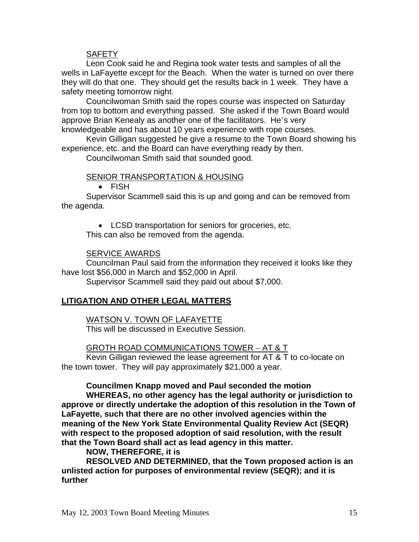### **SAFETY**

 Leon Cook said he and Regina took water tests and samples of all the wells in LaFayette except for the Beach. When the water is turned on over there they will do that one. They should get the results back in 1 week. They have a safety meeting tomorrow night.

 Councilwoman Smith said the ropes course was inspected on Saturday from top to bottom and everything passed. She asked if the Town Board would approve Brian Kenealy as another one of the facilitators. He's very knowledgeable and has about 10 years experience with rope courses.

 Kevin Gilligan suggested he give a resume to the Town Board showing his experience, etc. and the Board can have everything ready by then.

Councilwoman Smith said that sounded good.

### SENIOR TRANSPORTATION & HOUSING

• FISH

 Supervisor Scammell said this is up and going and can be removed from the agenda.

• LCSD transportation for seniors for groceries, etc.

This can also be removed from the agenda.

### SERVICE AWARDS

 Councilman Paul said from the information they received it looks like they have lost \$56,000 in March and \$52,000 in April.

Supervisor Scammell said they paid out about \$7,000.

# **LITIGATION AND OTHER LEGAL MATTERS**

### WATSON V. TOWN OF LAFAYETTE

This will be discussed in Executive Session.

# GROTH ROAD COMMUNICATIONS TOWER – AT & T

 Kevin Gilligan reviewed the lease agreement for AT & T to co-locate on the town tower. They will pay approximately \$21,000 a year.

### **Councilmen Knapp moved and Paul seconded the motion**

 **WHEREAS, no other agency has the legal authority or jurisdiction to approve or directly undertake the adoption of this resolution in the Town of LaFayette, such that there are no other involved agencies within the meaning of the New York State Environmental Quality Review Act (SEQR) with respect to the proposed adoption of said resolution, with the result that the Town Board shall act as lead agency in this matter.** 

# **NOW, THEREFORE, it is**

 **RESOLVED AND DETERMINED, that the Town proposed action is an unlisted action for purposes of environmental review (SEQR); and it is further**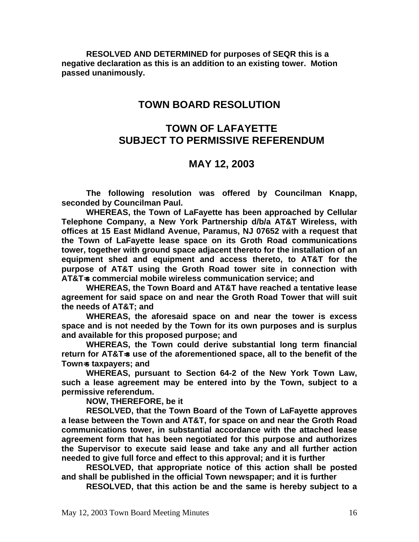**RESOLVED AND DETERMINED for purposes of SEQR this is a negative declaration as this is an addition to an existing tower. Motion passed unanimously.** 

# **TOWN BOARD RESOLUTION**

# **TOWN OF LAFAYETTE SUBJECT TO PERMISSIVE REFERENDUM**

# **MAY 12, 2003**

**The following resolution was offered by Councilman Knapp, seconded by Councilman Paul.** 

**WHEREAS, the Town of LaFayette has been approached by Cellular Telephone Company, a New York Partnership d/b/a AT&T Wireless, with offices at 15 East Midland Avenue, Paramus, NJ 07652 with a request that the Town of LaFayette lease space on its Groth Road communications tower, together with ground space adjacent thereto for the installation of an equipment shed and equipment and access thereto, to AT&T for the purpose of AT&T using the Groth Road tower site in connection with AT&T**=**s commercial mobile wireless communication service; and** 

**WHEREAS, the Town Board and AT&T have reached a tentative lease agreement for said space on and near the Groth Road Tower that will suit the needs of AT&T; and** 

**WHEREAS, the aforesaid space on and near the tower is excess space and is not needed by the Town for its own purposes and is surplus and available for this proposed purpose; and** 

**WHEREAS, the Town could derive substantial long term financial return for AT&T**=**s use of the aforementioned space, all to the benefit of the Town**=**s taxpayers; and** 

**WHEREAS, pursuant to Section 64-2 of the New York Town Law, such a lease agreement may be entered into by the Town, subject to a permissive referendum.** 

**NOW, THEREFORE, be it** 

**RESOLVED, that the Town Board of the Town of LaFayette approves a lease between the Town and AT&T, for space on and near the Groth Road communications tower, in substantial accordance with the attached lease agreement form that has been negotiated for this purpose and authorizes the Supervisor to execute said lease and take any and all further action needed to give full force and effect to this approval; and it is further** 

**RESOLVED, that appropriate notice of this action shall be posted and shall be published in the official Town newspaper; and it is further** 

**RESOLVED, that this action be and the same is hereby subject to a**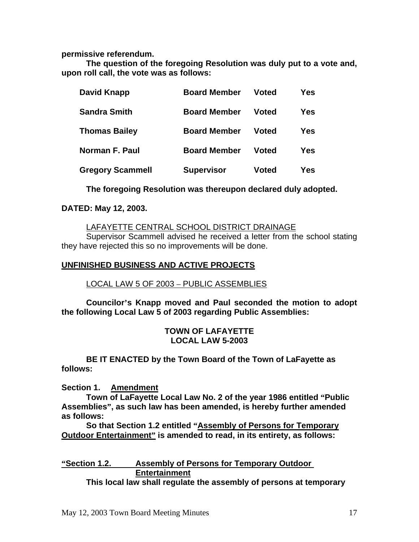**permissive referendum.** 

**The question of the foregoing Resolution was duly put to a vote and, upon roll call, the vote was as follows:** 

| David Knapp             | <b>Board Member</b> | Voted        | Yes |
|-------------------------|---------------------|--------------|-----|
| <b>Sandra Smith</b>     | <b>Board Member</b> | <b>Voted</b> | Yes |
| <b>Thomas Bailey</b>    | <b>Board Member</b> | <b>Voted</b> | Yes |
| <b>Norman F. Paul</b>   | <b>Board Member</b> | <b>Voted</b> | Yes |
| <b>Gregory Scammell</b> | <b>Supervisor</b>   | <b>Voted</b> | Yes |

**The foregoing Resolution was thereupon declared duly adopted.** 

### **DATED: May 12, 2003.**

### LAFAYETTE CENTRAL SCHOOL DISTRICT DRAINAGE

 Supervisor Scammell advised he received a letter from the school stating they have rejected this so no improvements will be done.

### **UNFINISHED BUSINESS AND ACTIVE PROJECTS**

# LOCAL LAW 5 OF 2003 – PUBLIC ASSEMBLIES

**Councilor's Knapp moved and Paul seconded the motion to adopt the following Local Law 5 of 2003 regarding Public Assemblies:** 

### **TOWN OF LAFAYETTE LOCAL LAW 5-2003**

 **BE IT ENACTED by the Town Board of the Town of LaFayette as follows:** 

**Section 1. Amendment**

 **Town of LaFayette Local Law No. 2 of the year 1986 entitled "Public Assemblies", as such law has been amended, is hereby further amended as follows:** 

 **So that Section 1.2 entitled "Assembly of Persons for Temporary Outdoor Entertainment" is amended to read, in its entirety, as follows:** 

# **"Section 1.2. Assembly of Persons for Temporary Outdoor Entertainment**

 **This local law shall regulate the assembly of persons at temporary**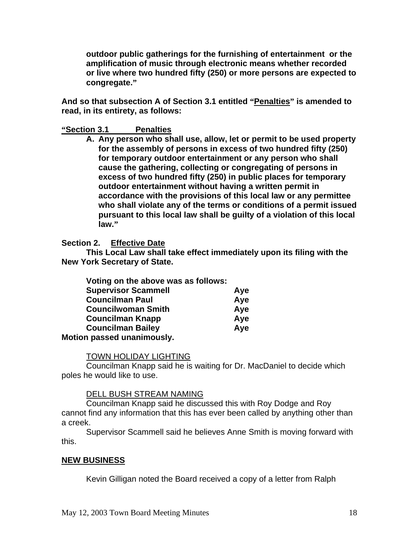**outdoor public gatherings for the furnishing of entertainment or the amplification of music through electronic means whether recorded or live where two hundred fifty (250) or more persons are expected to congregate."**

**And so that subsection A of Section 3.1 entitled "Penalties" is amended to read, in its entirety, as follows:** 

### **"Section 3.1 Penalties**

**A. Any person who shall use, allow, let or permit to be used property for the assembly of persons in excess of two hundred fifty (250) for temporary outdoor entertainment or any person who shall cause the gathering, collecting or congregating of persons in excess of two hundred fifty (250) in public places for temporary outdoor entertainment without having a written permit in accordance with the provisions of this local law or any permittee who shall violate any of the terms or conditions of a permit issued pursuant to this local law shall be guilty of a violation of this local law."**

### **Section 2. Effective Date**

 **This Local Law shall take effect immediately upon its filing with the New York Secretary of State.** 

| Voting on the above was as follows: |     |
|-------------------------------------|-----|
| <b>Supervisor Scammell</b>          | Aye |
| <b>Councilman Paul</b>              | Aye |
| <b>Councilwoman Smith</b>           | Aye |
| <b>Councilman Knapp</b>             | Aye |
| <b>Councilman Bailey</b>            | Aye |
| Motion passed unanimously.          |     |

### TOWN HOLIDAY LIGHTING

 Councilman Knapp said he is waiting for Dr. MacDaniel to decide which poles he would like to use.

### DELL BUSH STREAM NAMING

 Councilman Knapp said he discussed this with Roy Dodge and Roy cannot find any information that this has ever been called by anything other than a creek.

 Supervisor Scammell said he believes Anne Smith is moving forward with this.

### **NEW BUSINESS**

Kevin Gilligan noted the Board received a copy of a letter from Ralph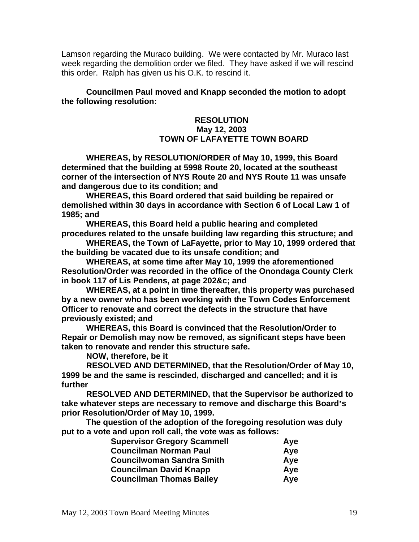Lamson regarding the Muraco building. We were contacted by Mr. Muraco last week regarding the demolition order we filed. They have asked if we will rescind this order. Ralph has given us his O.K. to rescind it.

**Councilmen Paul moved and Knapp seconded the motion to adopt the following resolution:** 

### **RESOLUTION May 12, 2003 TOWN OF LAFAYETTE TOWN BOARD**

**WHEREAS, by RESOLUTION/ORDER of May 10, 1999, this Board determined that the building at 5998 Route 20, located at the southeast corner of the intersection of NYS Route 20 and NYS Route 11 was unsafe and dangerous due to its condition; and** 

**WHEREAS, this Board ordered that said building be repaired or demolished within 30 days in accordance with Section 6 of Local Law 1 of 1985; and** 

**WHEREAS, this Board held a public hearing and completed procedures related to the unsafe building law regarding this structure; and** 

**WHEREAS, the Town of LaFayette, prior to May 10, 1999 ordered that the building be vacated due to its unsafe condition; and** 

**WHEREAS, at some time after May 10, 1999 the aforementioned Resolution/Order was recorded in the office of the Onondaga County Clerk in book 117 of Lis Pendens, at page 202&c; and** 

**WHEREAS, at a point in time thereafter, this property was purchased by a new owner who has been working with the Town Codes Enforcement Officer to renovate and correct the defects in the structure that have previously existed; and** 

**WHEREAS, this Board is convinced that the Resolution/Order to Repair or Demolish may now be removed, as significant steps have been taken to renovate and render this structure safe.** 

**NOW, therefore, be it** 

**RESOLVED AND DETERMINED, that the Resolution/Order of May 10, 1999 be and the same is rescinded, discharged and cancelled; and it is further** 

**RESOLVED AND DETERMINED, that the Supervisor be authorized to take whatever steps are necessary to remove and discharge this Board's prior Resolution/Order of May 10, 1999.** 

**The question of the adoption of the foregoing resolution was duly put to a vote and upon roll call, the vote was as follows:** 

| <b>Supervisor Gregory Scammell</b> | Aye |
|------------------------------------|-----|
| <b>Councilman Norman Paul</b>      | Aye |
| <b>Councilwoman Sandra Smith</b>   | Ave |
| <b>Councilman David Knapp</b>      | Aye |
| <b>Councilman Thomas Bailey</b>    | Aye |